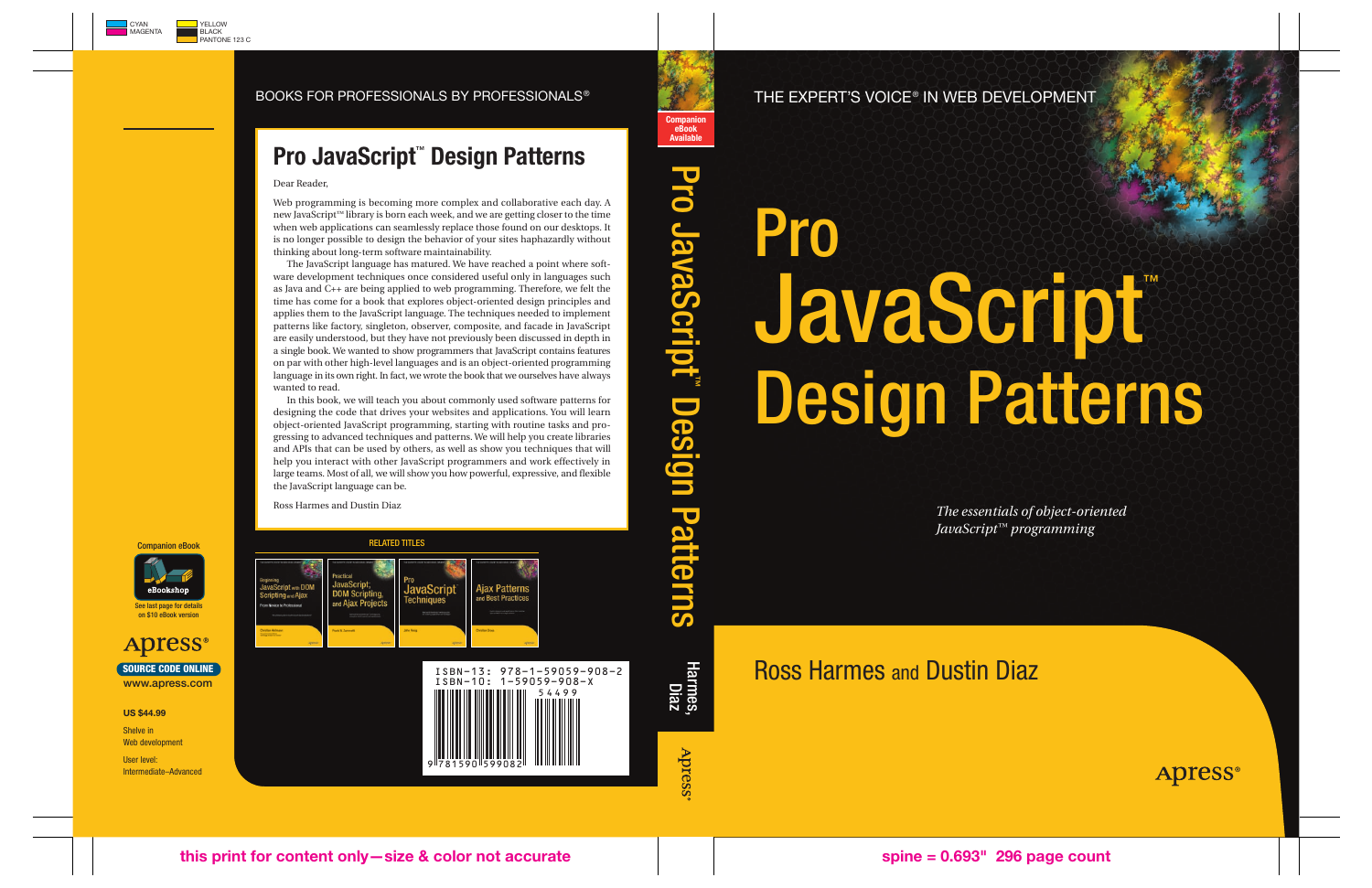THE EXPERT'S VOICE® IN WEB DEVELOPMENT

# Pro JavaScript Design Patterns

*The essentials of object-oriented JavaScript™ programming*

Ross Harmes and Dustin Diaz

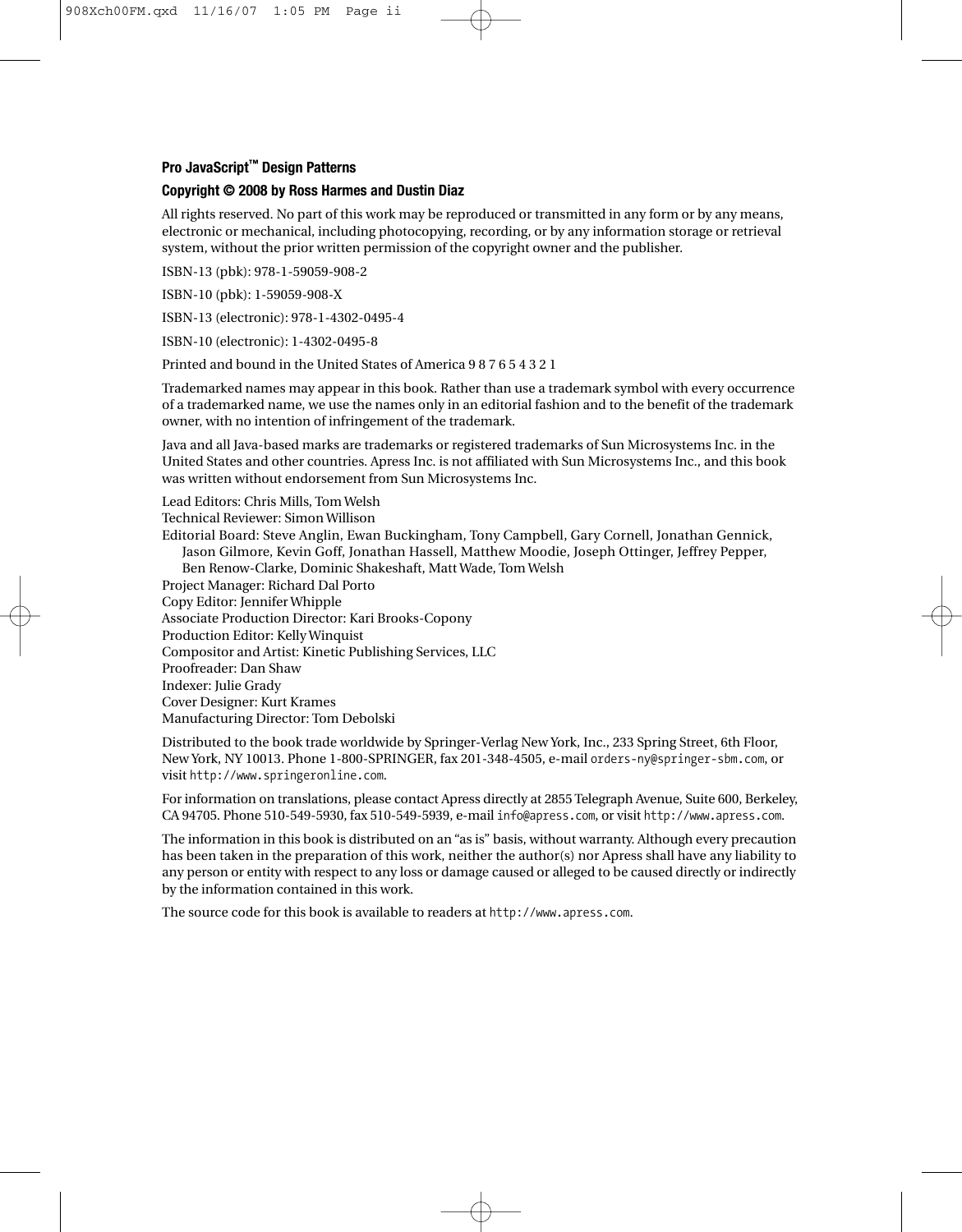#### **Pro JavaScript™ Design Patterns**

#### **Copyright © 2008 by Ross Harmes and Dustin Diaz**

All rights reserved. No part of this work may be reproduced or transmitted in any form or by any means, electronic or mechanical, including photocopying, recording, or by any information storage or retrieval system, without the prior written permission of the copyright owner and the publisher.

ISBN-13 (pbk): 978-1-59059-908-2

ISBN-10 (pbk): 1-59059-908-X

ISBN-13 (electronic): 978-1-4302-0495-4

ISBN-10 (electronic): 1-4302-0495-8

Printed and bound in the United States of America 9 8 7 6 5 4 3 2 1

Trademarked names may appear in this book. Rather than use a trademark symbol with every occurrence of a trademarked name, we use the names only in an editorial fashion and to the benefit of the trademark owner, with no intention of infringement of the trademark.

Java and all Java-based marks are trademarks or registered trademarks of Sun Microsystems Inc. in the United States and other countries. Apress Inc. is not affiliated with Sun Microsystems Inc., and this book was written without endorsement from Sun Microsystems Inc.

Lead Editors: Chris Mills, Tom Welsh

Technical Reviewer: Simon Willison

Editorial Board: Steve Anglin, Ewan Buckingham, Tony Campbell, Gary Cornell, Jonathan Gennick, Jason Gilmore, Kevin Goff, Jonathan Hassell, Matthew Moodie, Joseph Ottinger, Jeffrey Pepper, Ben Renow-Clarke, Dominic Shakeshaft, Matt Wade, Tom Welsh

Project Manager: Richard Dal Porto Copy Editor: Jennifer Whipple Associate Production Director: Kari Brooks-Copony Production Editor: Kelly Winquist Compositor and Artist: Kinetic Publishing Services, LLC Proofreader: Dan Shaw Indexer: Julie Grady Cover Designer: Kurt Krames Manufacturing Director: Tom Debolski

Distributed to the book trade worldwide by Springer-Verlag New York, Inc., 233 Spring Street, 6th Floor, New York, NY 10013. Phone 1-800-SPRINGER, fax 201-348-4505, e-mail orders-[ny@springer-sbm.com](mailto:ny@springer-sbm.com), or visit <http://www.springeronline.com>.

For information on translations, please contact Apress directly at 2855 Telegraph Avenue, Suite 600, Berkeley, CA 94705. Phone 510-549-5930, fax 510-549-5939, e-mail [info@apress.com](mailto:info@apress.com), or visit <http://www.apress.com>.

The information in this book is distributed on an "as is" basis, without warranty. Although every precaution has been taken in the preparation of this work, neither the author(s) nor Apress shall have any liability to any person or entity with respect to any loss or damage caused or alleged to be caused directly or indirectly by the information contained in this work.

The source code for this book is available to readers at <http://www.apress.com>.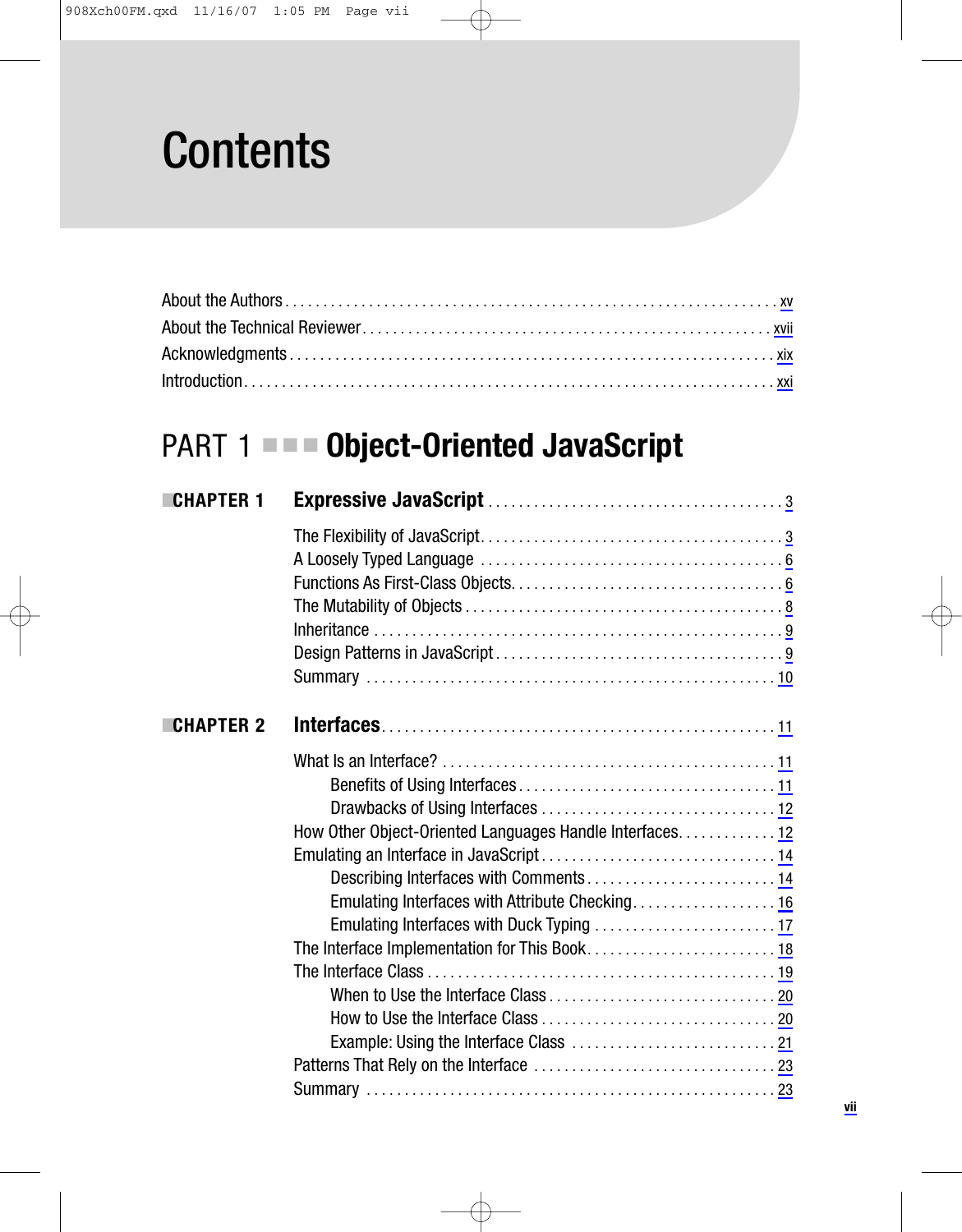# <span id="page-2-0"></span>**Contents**

# PART 1 **■ ■ ■ Object-Oriented JavaScript**

| <b>CHAPTER 1</b> |                                                           |
|------------------|-----------------------------------------------------------|
|                  |                                                           |
|                  |                                                           |
|                  |                                                           |
|                  |                                                           |
|                  |                                                           |
|                  |                                                           |
|                  |                                                           |
| <b>CHAPTER 2</b> |                                                           |
|                  |                                                           |
|                  |                                                           |
|                  |                                                           |
|                  | How Other Object-Oriented Languages Handle Interfaces. 12 |
|                  |                                                           |
|                  |                                                           |
|                  |                                                           |
|                  |                                                           |
|                  |                                                           |
|                  |                                                           |
|                  |                                                           |
|                  |                                                           |
|                  |                                                           |
|                  |                                                           |
|                  |                                                           |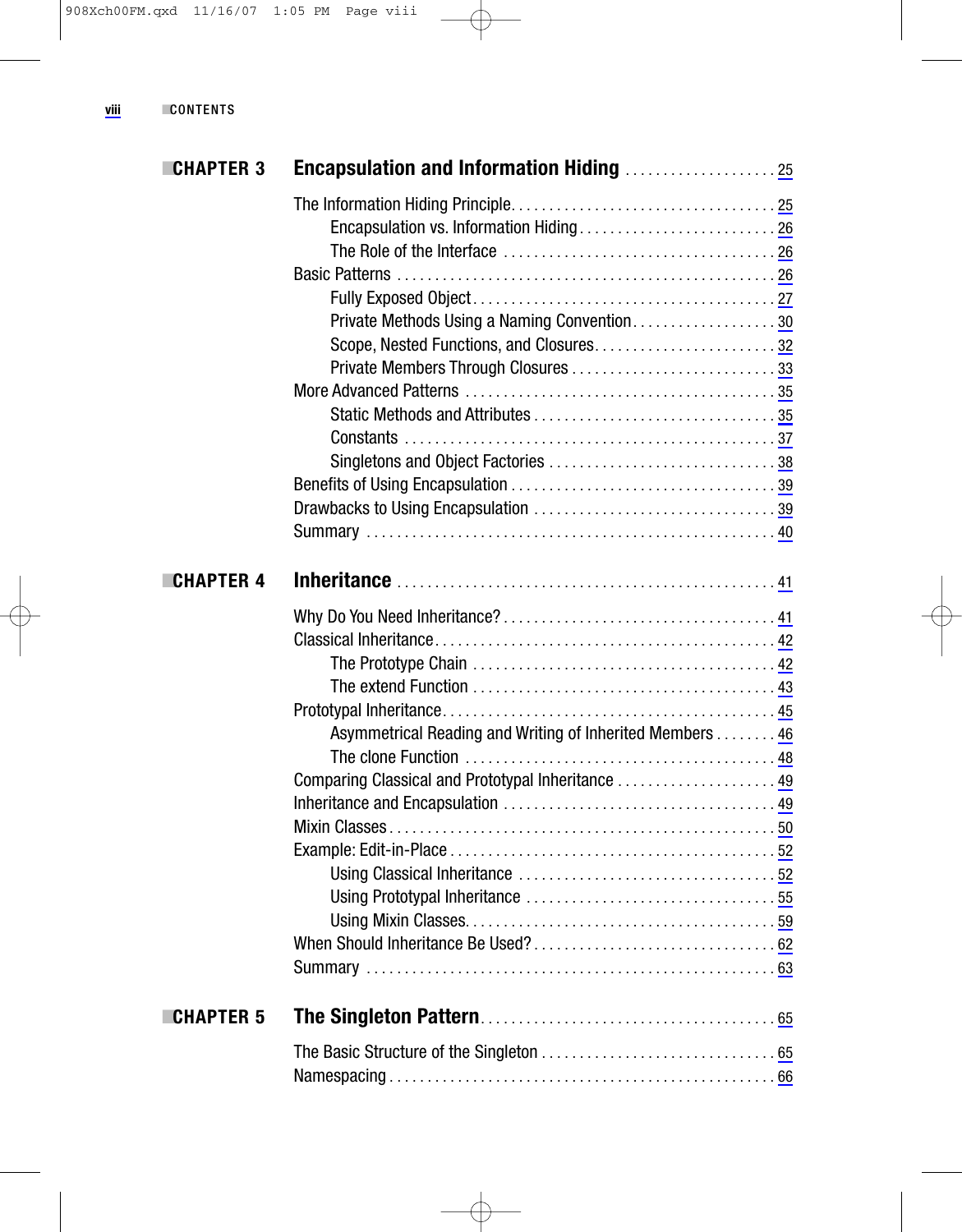<span id="page-3-0"></span>

| <b>CHAPTER 3</b> | <b>Encapsulation and Information Hiding 25</b>           |
|------------------|----------------------------------------------------------|
|                  |                                                          |
|                  |                                                          |
|                  |                                                          |
|                  |                                                          |
|                  |                                                          |
|                  |                                                          |
|                  |                                                          |
|                  |                                                          |
|                  |                                                          |
|                  |                                                          |
|                  |                                                          |
|                  |                                                          |
|                  |                                                          |
|                  |                                                          |
|                  |                                                          |
| <b>CHAPTER 4</b> |                                                          |
|                  |                                                          |
|                  |                                                          |
|                  |                                                          |
|                  |                                                          |
|                  |                                                          |
|                  | Asymmetrical Reading and Writing of Inherited Members 46 |
|                  |                                                          |
|                  |                                                          |
|                  |                                                          |
|                  |                                                          |
|                  |                                                          |
|                  |                                                          |
|                  |                                                          |
|                  |                                                          |
|                  |                                                          |
|                  |                                                          |
| <b>CHAPTER 5</b> |                                                          |
|                  |                                                          |
|                  |                                                          |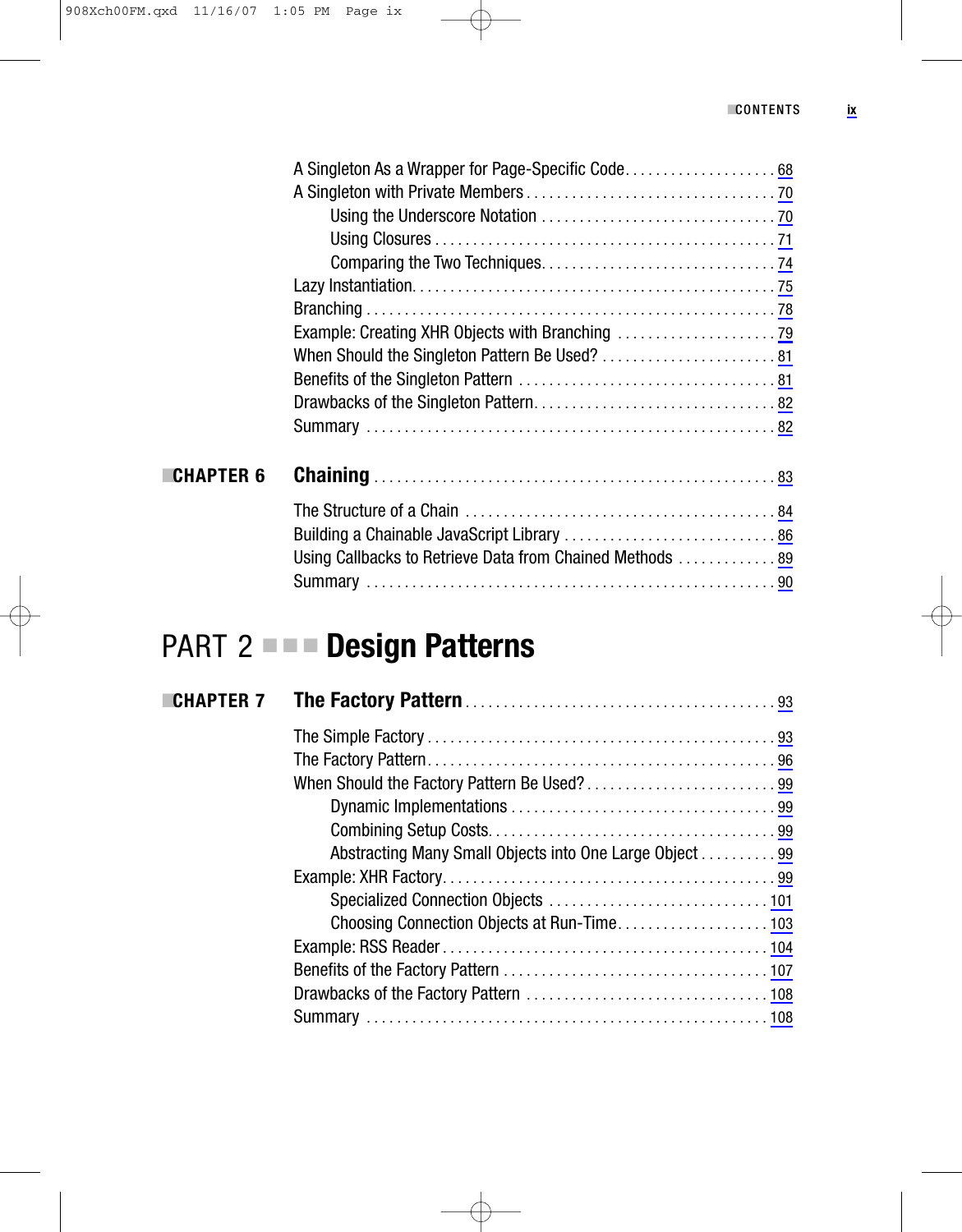<span id="page-4-0"></span>

|                  | When Should the Singleton Pattern Be Used?  81            |  |
|------------------|-----------------------------------------------------------|--|
|                  |                                                           |  |
|                  |                                                           |  |
|                  |                                                           |  |
| <b>CHAPTER 6</b> |                                                           |  |
|                  |                                                           |  |
|                  |                                                           |  |
|                  | Using Callbacks to Retrieve Data from Chained Methods  89 |  |
|                  |                                                           |  |
|                  |                                                           |  |

# PART 2 ■ ■ ■ **Design Patterns**

| Abstracting Many Small Objects into One Large Object 99 |  |
|---------------------------------------------------------|--|
|                                                         |  |
|                                                         |  |
|                                                         |  |
|                                                         |  |
|                                                         |  |
|                                                         |  |
|                                                         |  |
|                                                         |  |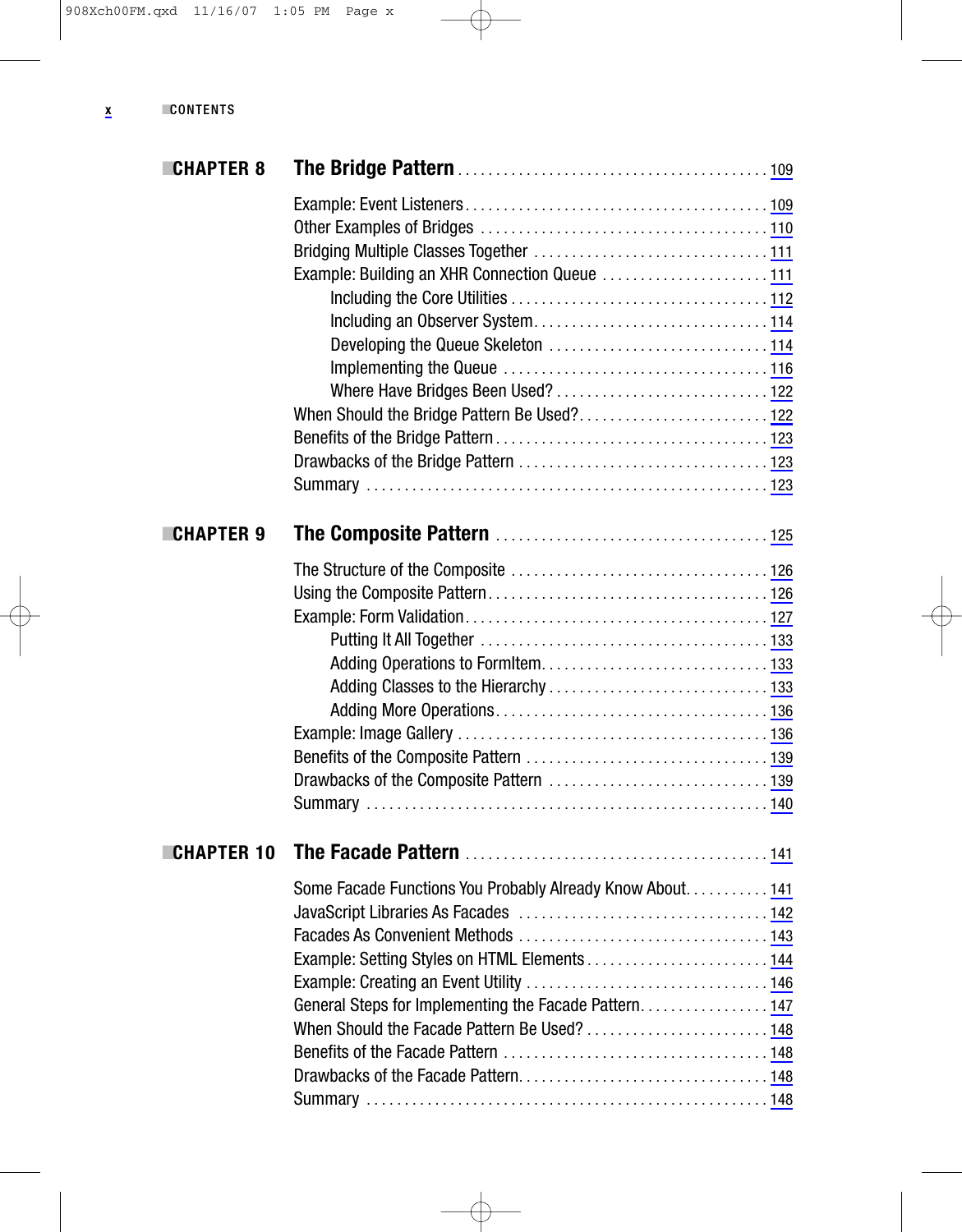<span id="page-5-0"></span>

| <b>CHAPTER 8</b>  |                                                            |  |
|-------------------|------------------------------------------------------------|--|
|                   |                                                            |  |
|                   |                                                            |  |
|                   |                                                            |  |
|                   |                                                            |  |
|                   |                                                            |  |
|                   |                                                            |  |
|                   |                                                            |  |
|                   |                                                            |  |
|                   |                                                            |  |
|                   |                                                            |  |
|                   |                                                            |  |
|                   |                                                            |  |
|                   |                                                            |  |
| <b>CHAPTER 9</b>  |                                                            |  |
|                   |                                                            |  |
|                   |                                                            |  |
|                   |                                                            |  |
|                   |                                                            |  |
|                   |                                                            |  |
|                   |                                                            |  |
|                   |                                                            |  |
|                   |                                                            |  |
|                   |                                                            |  |
|                   |                                                            |  |
|                   |                                                            |  |
| <b>CHAPTER 10</b> |                                                            |  |
|                   | Some Facade Functions You Probably Already Know About. 141 |  |
|                   |                                                            |  |
|                   |                                                            |  |
|                   |                                                            |  |
|                   |                                                            |  |
|                   |                                                            |  |
|                   | When Should the Facade Pattern Be Used?  148               |  |
|                   |                                                            |  |
|                   |                                                            |  |
|                   |                                                            |  |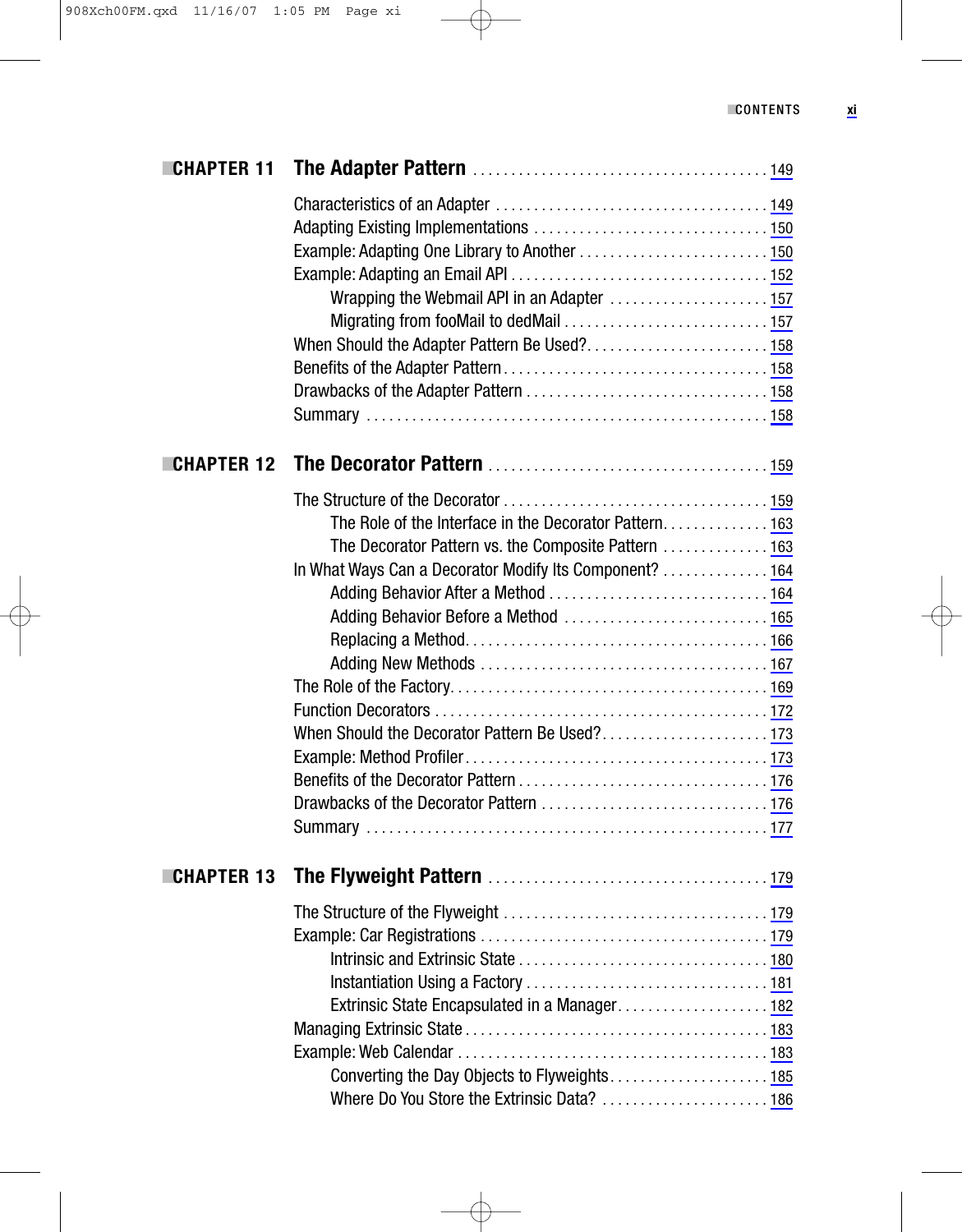<span id="page-6-0"></span>

| <b>CHAPTER 11</b> |                                                         |  |
|-------------------|---------------------------------------------------------|--|
|                   |                                                         |  |
|                   |                                                         |  |
|                   |                                                         |  |
|                   |                                                         |  |
|                   |                                                         |  |
|                   |                                                         |  |
|                   |                                                         |  |
|                   |                                                         |  |
|                   |                                                         |  |
|                   |                                                         |  |
| <b>CHAPTER 12</b> |                                                         |  |
|                   |                                                         |  |
|                   | The Role of the Interface in the Decorator Pattern 163  |  |
|                   | The Decorator Pattern vs. the Composite Pattern  163    |  |
|                   | In What Ways Can a Decorator Modify Its Component?  164 |  |
|                   |                                                         |  |
|                   |                                                         |  |
|                   |                                                         |  |
|                   |                                                         |  |
|                   |                                                         |  |
|                   |                                                         |  |
|                   |                                                         |  |
|                   |                                                         |  |
|                   |                                                         |  |
|                   |                                                         |  |
|                   |                                                         |  |
| <b>CHAPTER 13</b> |                                                         |  |
|                   |                                                         |  |
|                   |                                                         |  |
|                   |                                                         |  |
|                   |                                                         |  |
|                   |                                                         |  |
|                   |                                                         |  |
|                   |                                                         |  |
|                   | Converting the Day Objects to Flyweights 185            |  |
|                   |                                                         |  |
|                   |                                                         |  |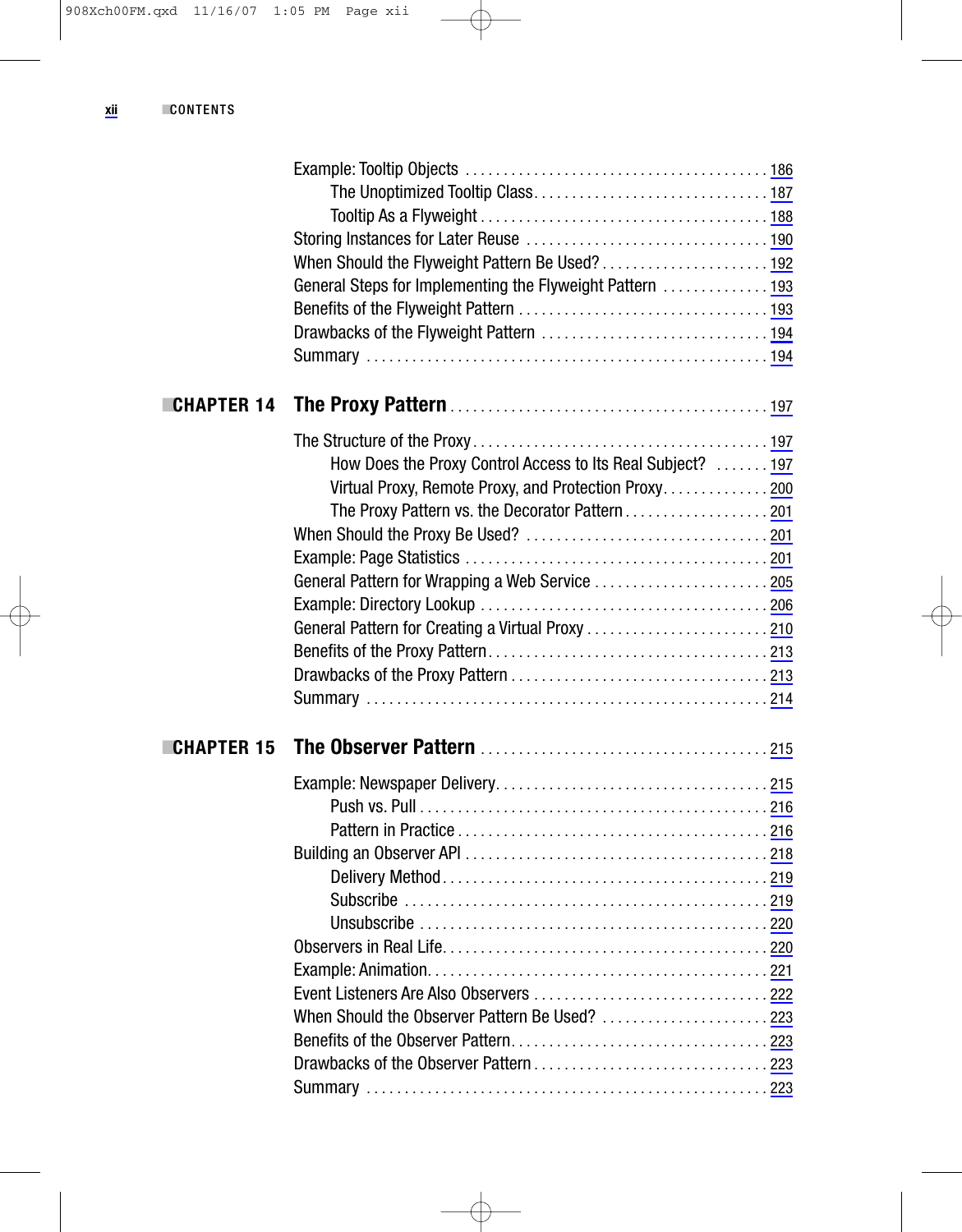<span id="page-7-0"></span>

|                   | General Steps for Implementing the Flyweight Pattern  193   |  |
|-------------------|-------------------------------------------------------------|--|
|                   |                                                             |  |
|                   |                                                             |  |
|                   |                                                             |  |
|                   |                                                             |  |
| <b>CHAPTER 14</b> |                                                             |  |
|                   |                                                             |  |
|                   | How Does the Proxy Control Access to Its Real Subject?  197 |  |
|                   | Virtual Proxy, Remote Proxy, and Protection Proxy 200       |  |
|                   | The Proxy Pattern vs. the Decorator Pattern 201             |  |
|                   |                                                             |  |
|                   |                                                             |  |
|                   |                                                             |  |
|                   |                                                             |  |
|                   |                                                             |  |
|                   |                                                             |  |
|                   |                                                             |  |
|                   |                                                             |  |
| <b>CHAPTER 15</b> |                                                             |  |
|                   |                                                             |  |
|                   |                                                             |  |
|                   |                                                             |  |
|                   |                                                             |  |
|                   |                                                             |  |
|                   |                                                             |  |
|                   |                                                             |  |
|                   |                                                             |  |
|                   |                                                             |  |
|                   |                                                             |  |
|                   |                                                             |  |
|                   |                                                             |  |
|                   |                                                             |  |
|                   |                                                             |  |
|                   |                                                             |  |
|                   |                                                             |  |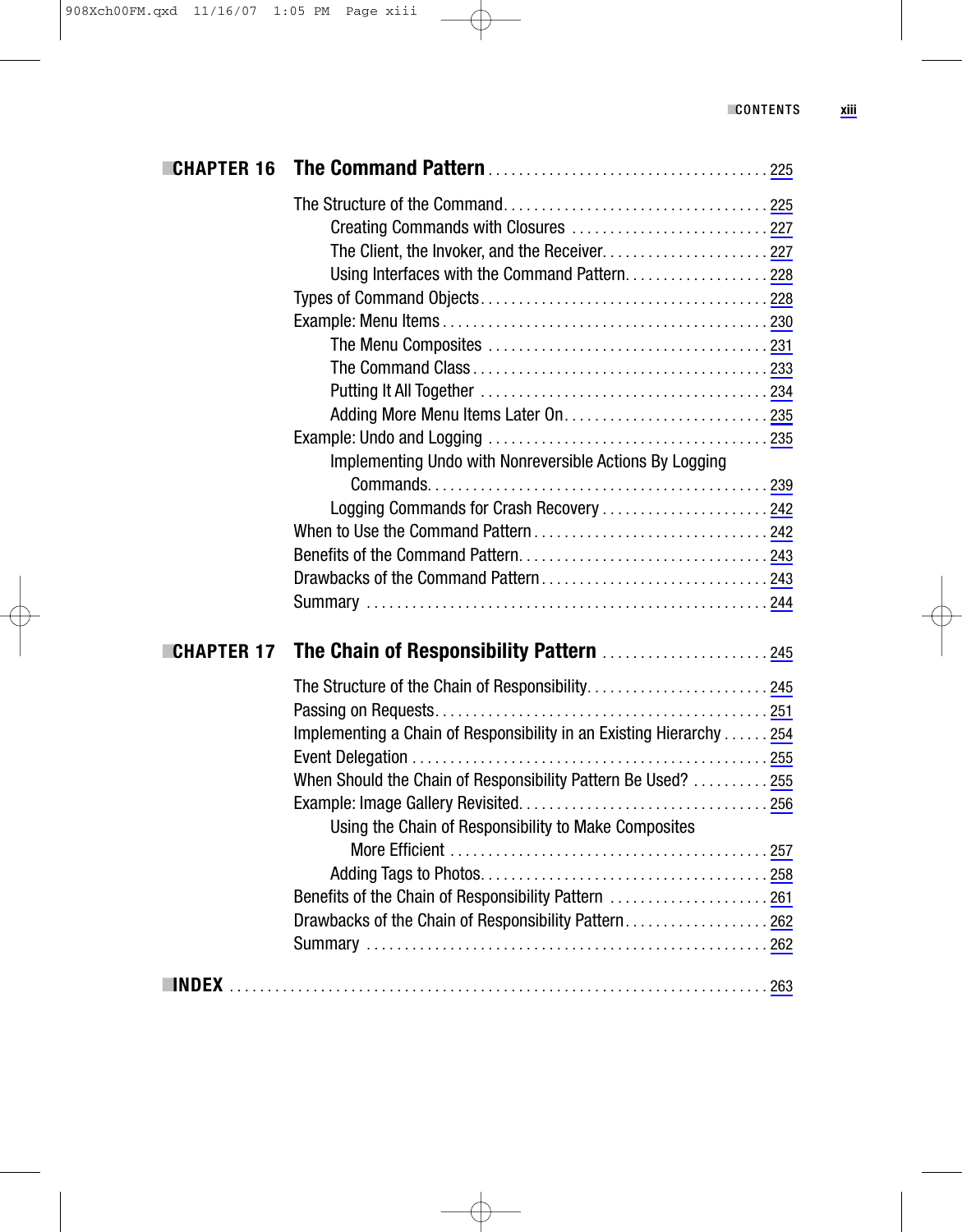| <b>CHAPTER 16</b> |                                                                     |  |
|-------------------|---------------------------------------------------------------------|--|
|                   |                                                                     |  |
|                   |                                                                     |  |
|                   |                                                                     |  |
|                   | Using Interfaces with the Command Pattern 228                       |  |
|                   |                                                                     |  |
|                   |                                                                     |  |
|                   |                                                                     |  |
|                   |                                                                     |  |
|                   |                                                                     |  |
|                   |                                                                     |  |
|                   |                                                                     |  |
|                   | Implementing Undo with Nonreversible Actions By Logging             |  |
|                   |                                                                     |  |
|                   | Logging Commands for Crash Recovery  242                            |  |
|                   |                                                                     |  |
|                   |                                                                     |  |
|                   |                                                                     |  |
|                   |                                                                     |  |
| <b>CHAPTER 17</b> | <b>The Chain of Responsibility Pattern 245</b>                      |  |
|                   |                                                                     |  |
|                   | The Structure of the Chain of Responsibility245                     |  |
|                   |                                                                     |  |
|                   | Implementing a Chain of Responsibility in an Existing Hierarchy 254 |  |
|                   |                                                                     |  |
|                   | When Should the Chain of Responsibility Pattern Be Used?  255       |  |
|                   | Using the Chain of Responsibility to Make Composites                |  |
|                   |                                                                     |  |
|                   |                                                                     |  |
|                   | Benefits of the Chain of Responsibility Pattern  261                |  |
|                   | Drawbacks of the Chain of Responsibility Pattern 262                |  |
|                   |                                                                     |  |
|                   |                                                                     |  |
|                   |                                                                     |  |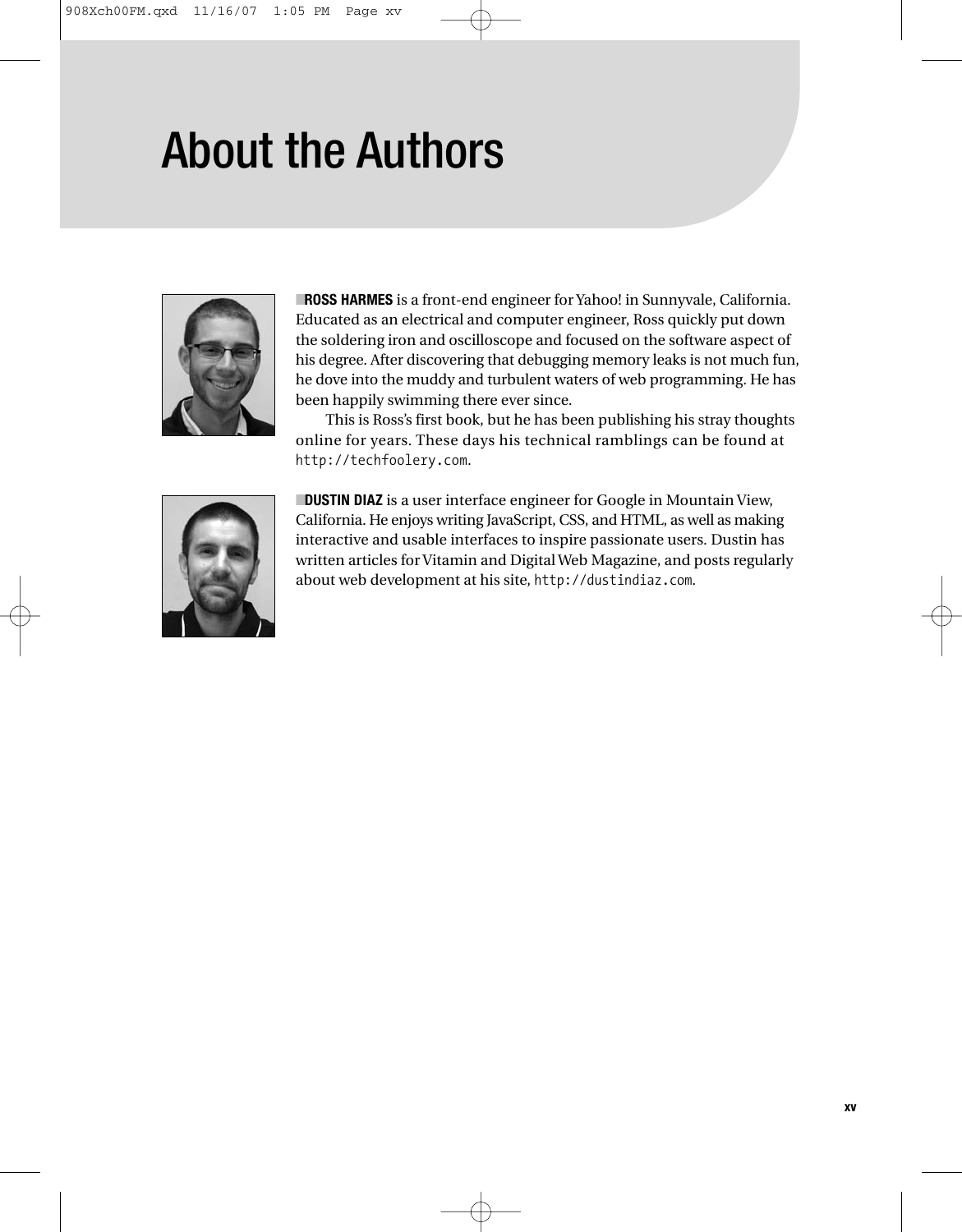# About the Authors



**ROSS HARMES** is a front-end engineer for Yahoo! in Sunnyvale, California. Educated as an electrical and computer engineer, Ross quickly put down the soldering iron and oscilloscope and focused on the software aspect of his degree. After discovering that debugging memory leaks is not much fun, he dove into the muddy and turbulent waters of web programming. He has been happily swimming there ever since.

This is Ross's first book, but he has been publishing his stray thoughts online for years. These days his technical ramblings can be found at <http://techfoolery.com>.



**DUSTIN DIAZ** is a user interface engineer for Google in Mountain View, California. He enjoys writing JavaScript, CSS, and HTML, as well as making interactive and usable interfaces to inspire passionate users. Dustin has written articles for Vitamin and Digital Web Magazine, and posts regularly about web development at his site, <http://dustindiaz.com>.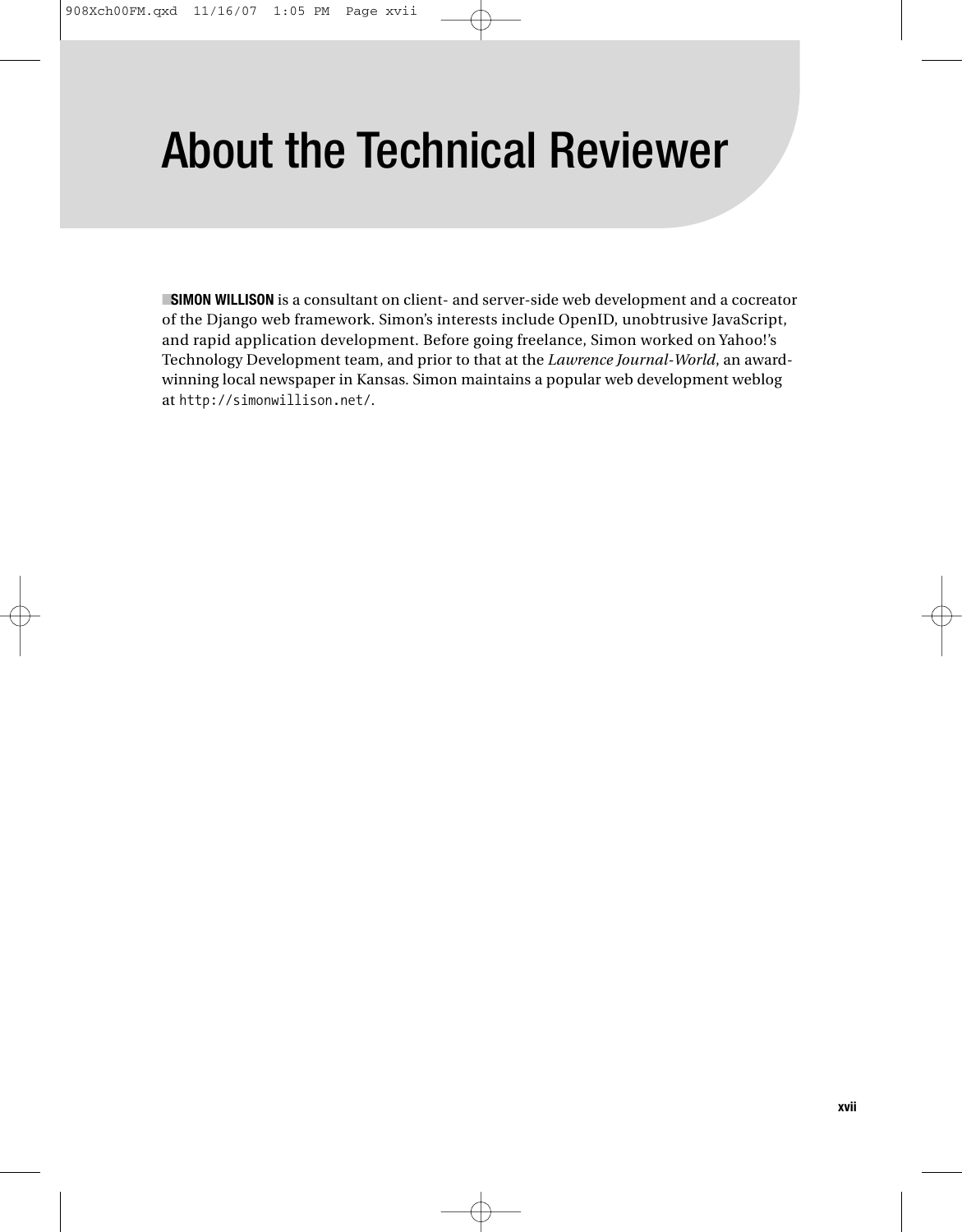# About the Technical Reviewer

**SIMON WILLISON** is a consultant on client- and server-side web development and a cocreator of the Django web framework. Simon's interests include OpenID, unobtrusive JavaScript, and rapid application development. Before going freelance, Simon worked on Yahoo!'s Technology Development team, and prior to that at the *Lawrence Journal-World*, an awardwinning local newspaper in Kansas. Simon maintains a popular web development weblog at <http://simonwillison.net>/.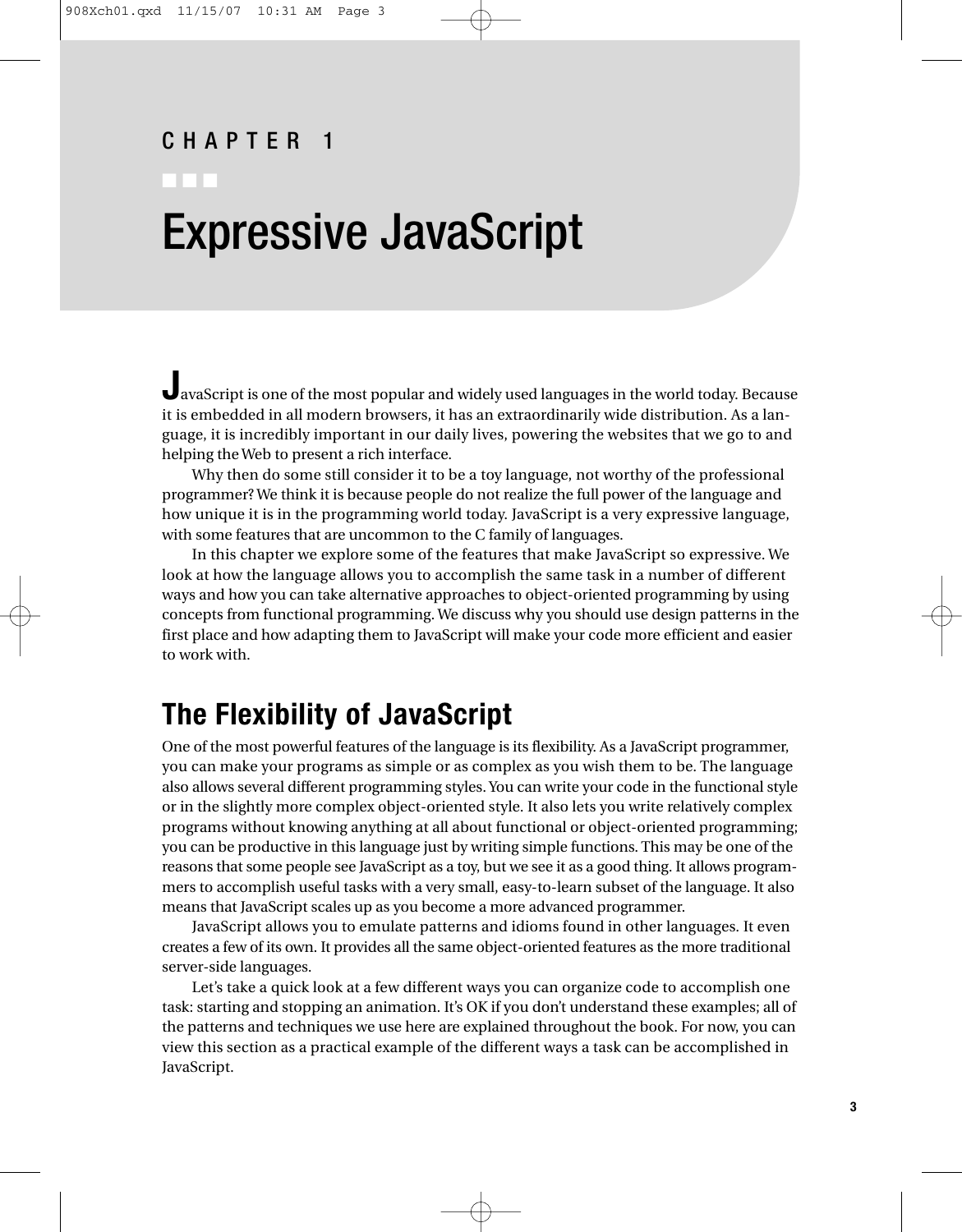#### <span id="page-11-0"></span>CHAPTER 1

#### ■ ■ ■

# Expressive JavaScript

**J**avaScript is one of the most popular and widely used languages in the world today. Because it is embedded in all modern browsers, it has an extraordinarily wide distribution. As a language, it is incredibly important in our daily lives, powering the websites that we go to and helping the Web to present a rich interface.

Why then do some still consider it to be a toy language, not worthy of the professional programmer? We think it is because people do not realize the full power of the language and how unique it is in the programming world today. JavaScript is a very expressive language, with some features that are uncommon to the C family of languages.

In this chapter we explore some of the features that make JavaScript so expressive. We look at how the language allows you to accomplish the same task in a number of different ways and how you can take alternative approaches to object-oriented programming by using concepts from functional programming. We discuss why you should use design patterns in the first place and how adapting them to JavaScript will make your code more efficient and easier to work with.

# **The Flexibility of JavaScript**

One of the most powerful features of the language is its flexibility. As a JavaScript programmer, you can make your programs as simple or as complex as you wish them to be. The language also allows several different programming styles. You can write your code in the functional style or in the slightly more complex object-oriented style. It also lets you write relatively complex programs without knowing anything at all about functional or object-oriented programming; you can be productive in this language just by writing simple functions. This may be one of the reasons that some people see JavaScript as a toy, but we see it as a good thing. It allows programmers to accomplish useful tasks with a very small, easy-to-learn subset of the language. It also means that JavaScript scales up as you become a more advanced programmer.

JavaScript allows you to emulate patterns and idioms found in other languages. It even creates a few of its own. It provides all the same object-oriented features as the more traditional server-side languages.

Let's take a quick look at a few different ways you can organize code to accomplish one task: starting and stopping an animation. It's OK if you don't understand these examples; all of the patterns and techniques we use here are explained throughout the book. For now, you can view this section as a practical example of the different ways a task can be accomplished in JavaScript.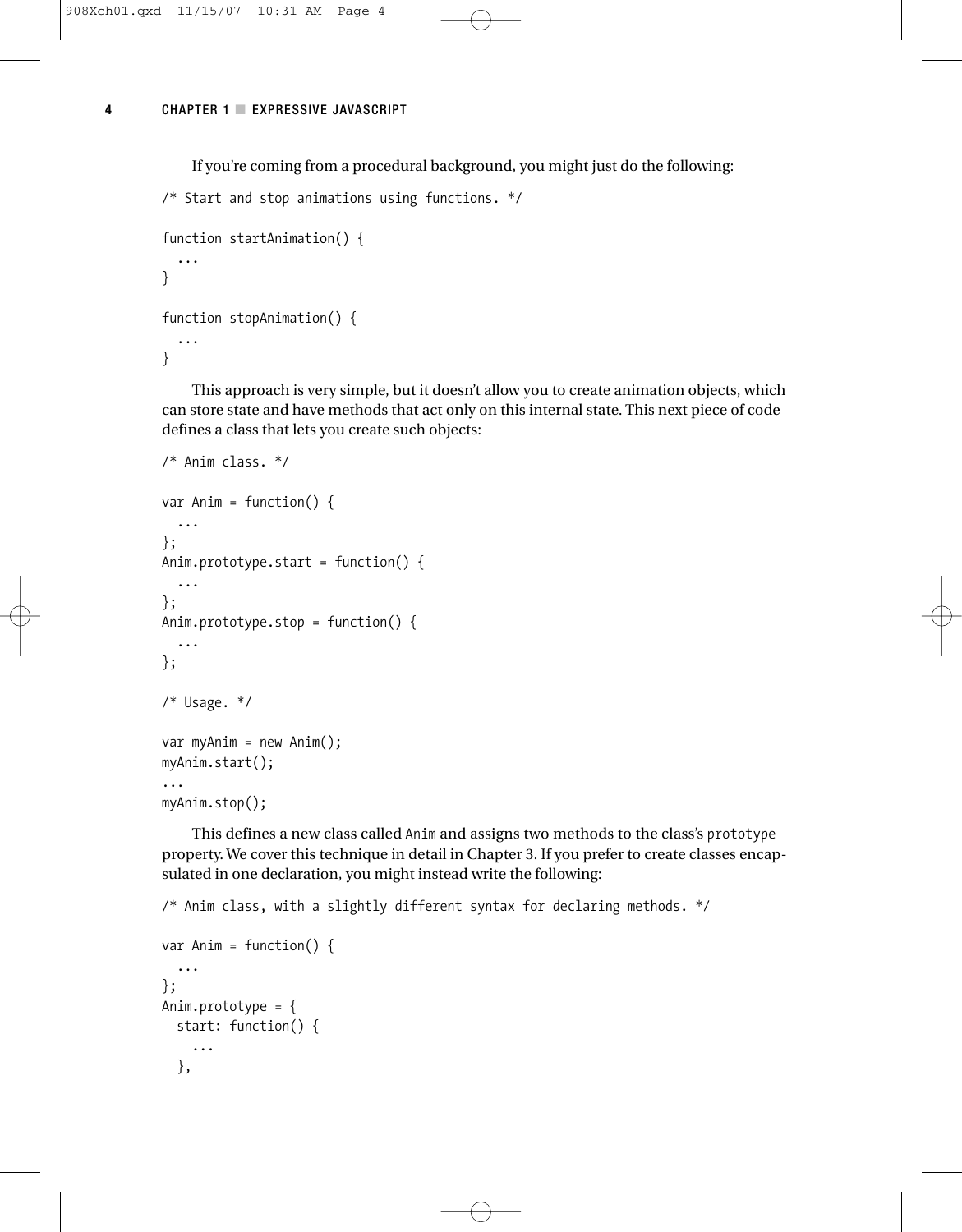If you're coming from a procedural background, you might just do the following:

```
/* Start and stop animations using functions. */
function startAnimation() {
  ...
}
function stopAnimation() {
  ...
}
```
This approach is very simple, but it doesn't allow you to create animation objects, which can store state and have methods that act only on this internal state. This next piece of code defines a class that lets you create such objects:

```
/* Anim class. */
var Anim = function() {
  ...
};
Anim.prototype.start = function() {
 ...
};
Anim.prototype.stop = function() {
 ...
};
/* Usage. */
var myAnim = new Anim();
myAnim.start();
...
myAnim.stop();
```
This defines a new class called Anim and assigns two methods to the class's prototype property. We cover this technique in detail in Chapter 3. If you prefer to create classes encapsulated in one declaration, you might instead write the following:

/\* Anim class, with a slightly different syntax for declaring methods. \*/

```
var Anim = function() {
  ...
};
Anim.prototype = {
 start: function() {
    ...
  },
```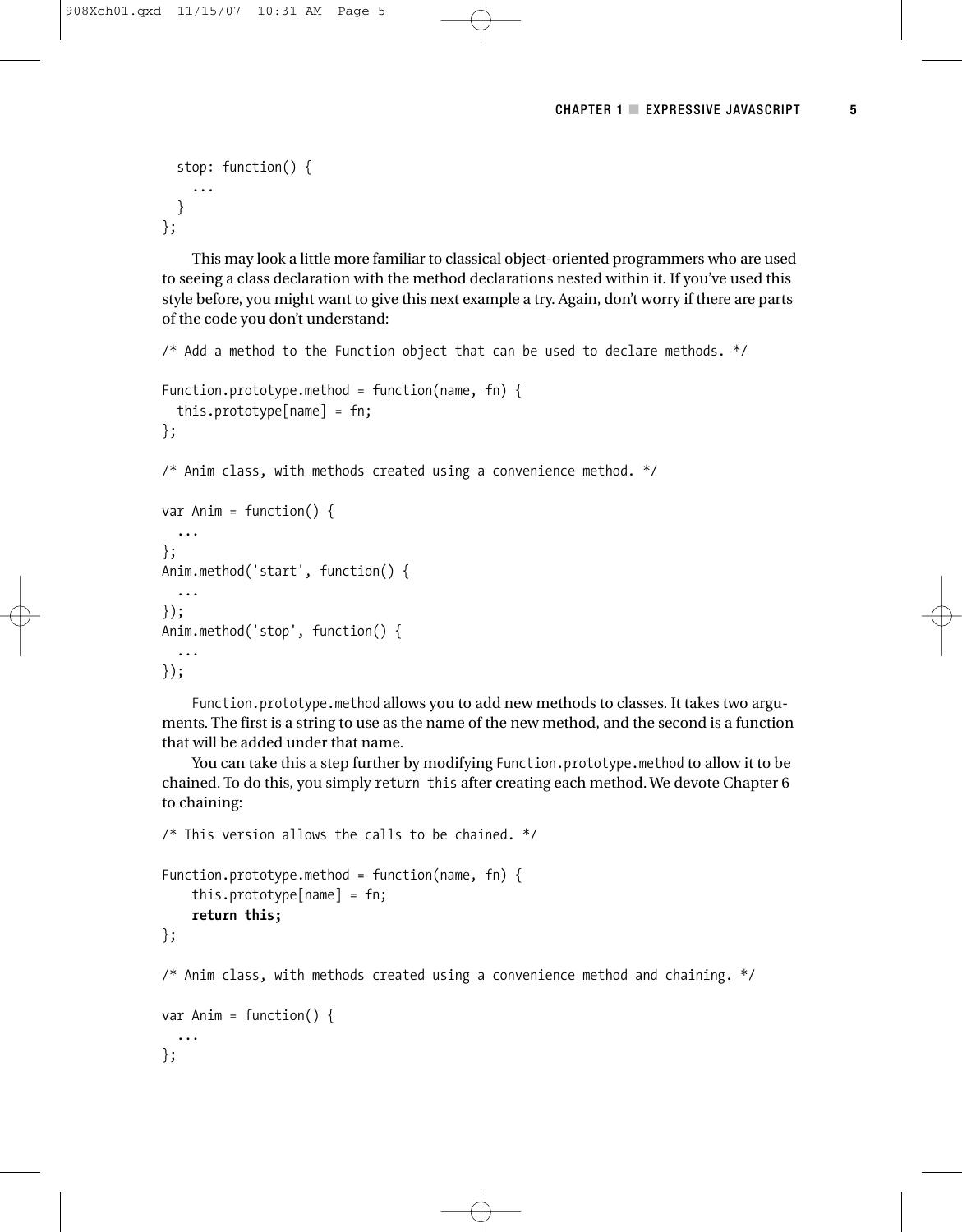```
stop: function() {
    ...
  }
};
```
This may look a little more familiar to classical object-oriented programmers who are used to seeing a class declaration with the method declarations nested within it. If you've used this style before, you might want to give this next example a try. Again, don't worry if there are parts of the code you don't understand:

```
/* Add a method to the Function object that can be used to declare methods. */
Function.prototype.method = function(name, fn) {
 this.prototype[name] = fn;
};
/* Anim class, with methods created using a convenience method. */
var Anim = function() {
  ...
};
Anim.method('start', function() {
  ...
});
Anim.method('stop', function() {
  ...
});
```
Function.prototype.method allows you to add new methods to classes. It takes two arguments. The first is a string to use as the name of the new method, and the second is a function that will be added under that name.

You can take this a step further by modifying Function.prototype.method to allow it to be chained. To do this, you simply return this after creating each method. We devote Chapter 6 to chaining:

```
/* This version allows the calls to be chained. */
Function.prototype.method = function(name, fn) {
   this.prototype[name] = fn;
   return this;
};
/* Anim class, with methods created using a convenience method and chaining. */
var Anim = function() { 
  ...
};
```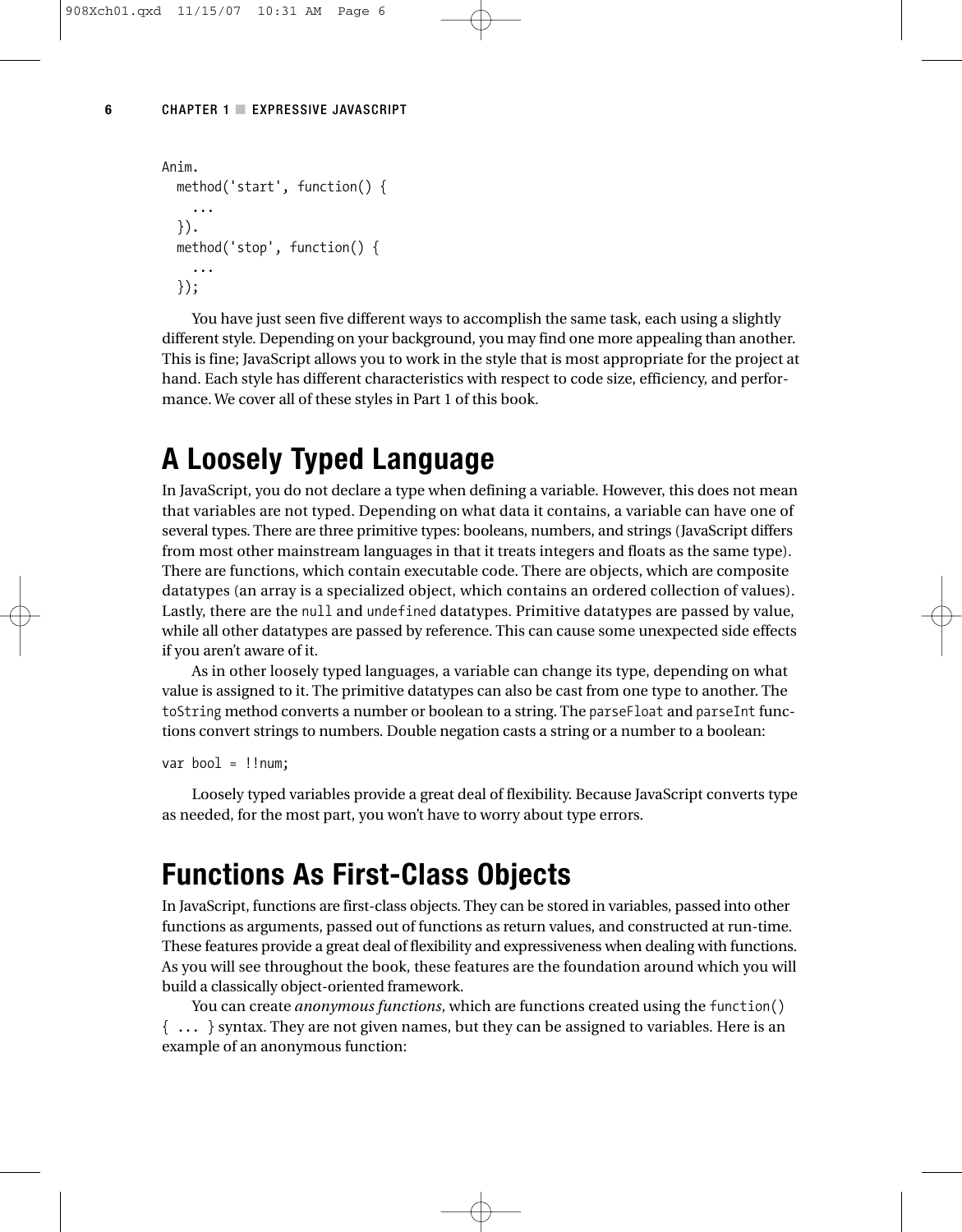```
Anim.
 method('start', function() {
    ...
  }).
 method('stop', function() {
    ...
 });
```
You have just seen five different ways to accomplish the same task, each using a slightly different style. Depending on your background, you may find one more appealing than another. This is fine; JavaScript allows you to work in the style that is most appropriate for the project at hand. Each style has different characteristics with respect to code size, efficiency, and performance. We cover all of these styles in Part 1 of this book.

# **A Loosely Typed Language**

In JavaScript, you do not declare a type when defining a variable. However, this does not mean that variables are not typed. Depending on what data it contains, a variable can have one of several types. There are three primitive types: booleans, numbers, and strings (JavaScript differs from most other mainstream languages in that it treats integers and floats as the same type). There are functions, which contain executable code. There are objects, which are composite datatypes (an array is a specialized object, which contains an ordered collection of values). Lastly, there are the null and undefined datatypes. Primitive datatypes are passed by value, while all other datatypes are passed by reference. This can cause some unexpected side effects if you aren't aware of it.

As in other loosely typed languages, a variable can change its type, depending on what value is assigned to it. The primitive datatypes can also be cast from one type to another. The toString method converts a number or boolean to a string. The parseFloat and parseInt functions convert strings to numbers. Double negation casts a string or a number to a boolean:

```
var bool = !!num;
```
Loosely typed variables provide a great deal of flexibility. Because JavaScript converts type as needed, for the most part, you won't have to worry about type errors.

## **Functions As First-Class Objects**

In JavaScript, functions are first-class objects. They can be stored in variables, passed into other functions as arguments, passed out of functions as return values, and constructed at run-time. These features provide a great deal of flexibility and expressiveness when dealing with functions. As you will see throughout the book, these features are the foundation around which you will build a classically object-oriented framework.

You can create *anonymous functions*, which are functions created using the function() { ... } syntax. They are not given names, but they can be assigned to variables. Here is an example of an anonymous function: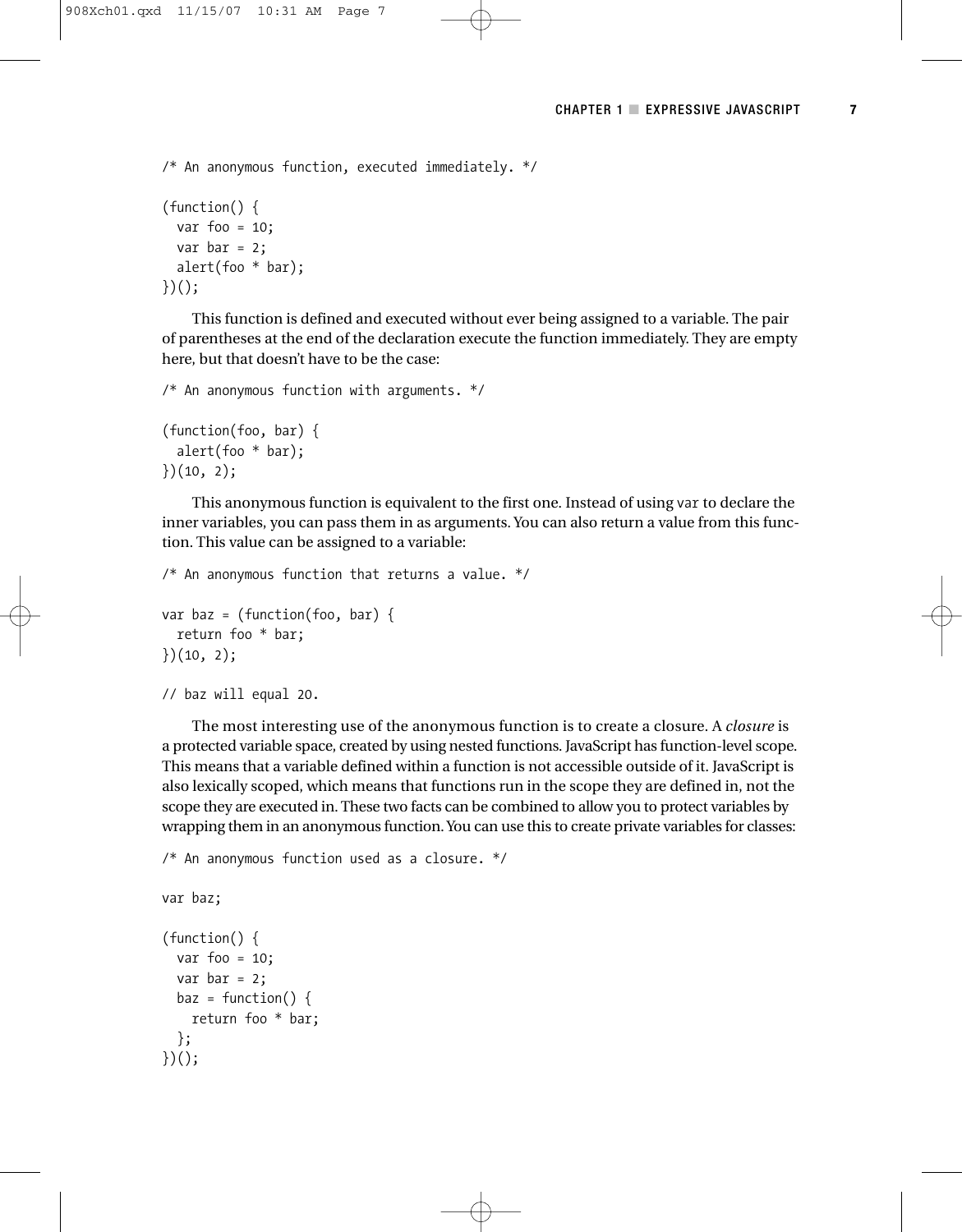```
/* An anonymous function, executed immediately. */
(function() {
 var foo = 10;
 var bar = 2;
 alert(foo * bar);
\})();
```
This function is defined and executed without ever being assigned to a variable. The pair of parentheses at the end of the declaration execute the function immediately. They are empty here, but that doesn't have to be the case:

```
/* An anonymous function with arguments. */
(function(foo, bar) {
  alert(foo * bar);
\}(10, 2);
```
This anonymous function is equivalent to the first one. Instead of using var to declare the inner variables, you can pass them in as arguments. You can also return a value from this function. This value can be assigned to a variable:

```
/* An anonymous function that returns a value. */
var baz = (function(foo, bar) {
 return foo * bar;
\}(10, 2);
// baz will equal 20.
```
The most interesting use of the anonymous function is to create a closure. A *closure* is a protected variable space, created by using nested functions. JavaScript has function-level scope. This means that a variable defined within a function is not accessible outside of it. JavaScript is also lexically scoped, which means that functions run in the scope they are defined in, not the scope they are executed in. These two facts can be combined to allow you to protect variables by wrapping them in an anonymous function. You can use this to create private variables for classes:

```
/* An anonymous function used as a closure. */
var baz;
(function() {
  var foo = 10;
  var bar = 2;
  \text{baz} = \text{function}() \{return foo * bar; 
  };
\})();
```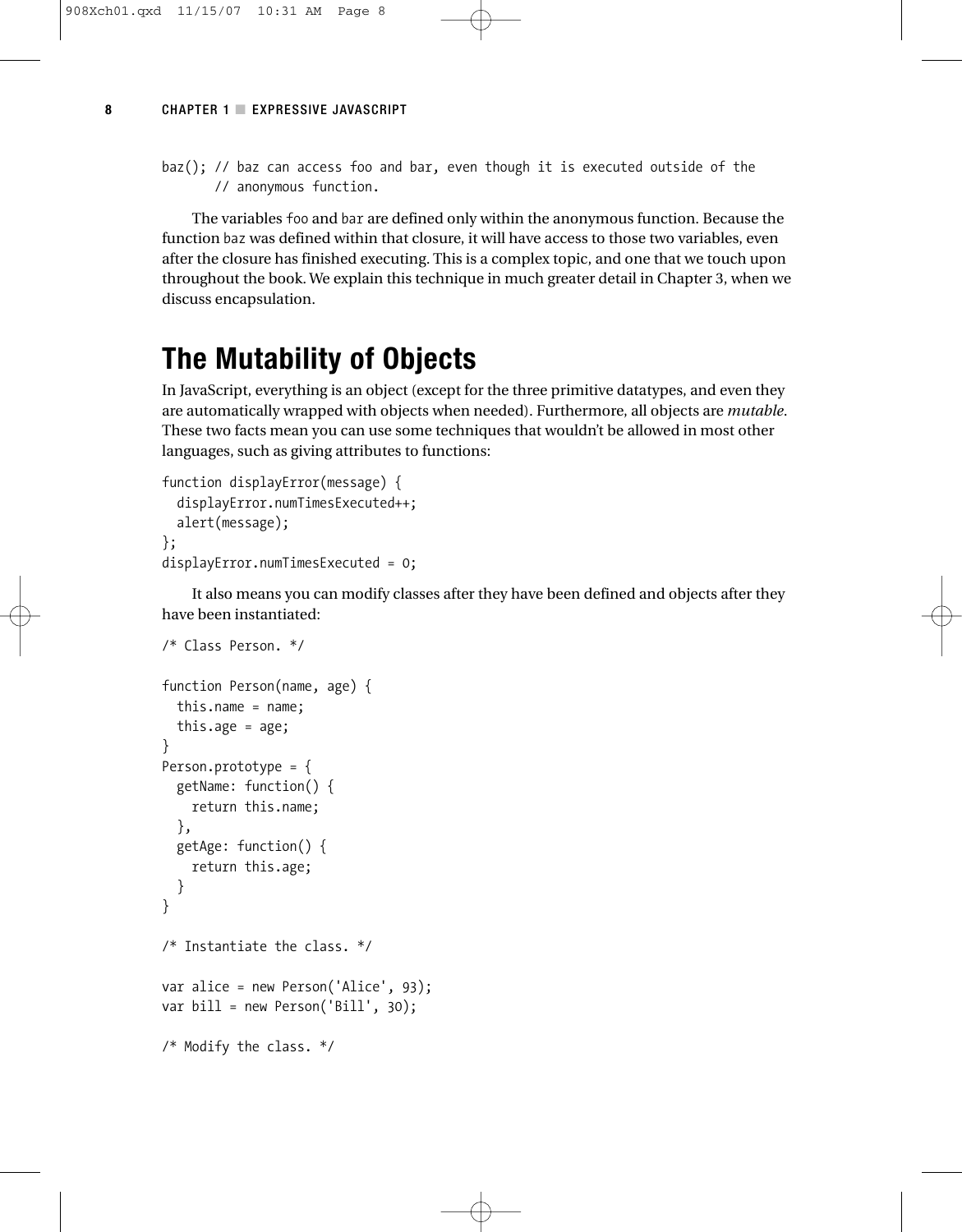<span id="page-16-0"></span>baz(); // baz can access foo and bar, even though it is executed outside of the // anonymous function.

The variables foo and bar are defined only within the anonymous function. Because the function baz was defined within that closure, it will have access to those two variables, even after the closure has finished executing. This is a complex topic, and one that we touch upon throughout the book. We explain this technique in much greater detail in Chapter 3, when we discuss encapsulation.

### **The Mutability of Objects**

In JavaScript, everything is an object (except for the three primitive datatypes, and even they are automatically wrapped with objects when needed). Furthermore, all objects are *mutable*. These two facts mean you can use some techniques that wouldn't be allowed in most other languages, such as giving attributes to functions:

```
function displayError(message) {
 displayError.numTimesExecuted++;
 alert(message);
};
displayError.numTimesExecuted = 0;
```
It also means you can modify classes after they have been defined and objects after they have been instantiated:

```
/* Class Person. */
function Person(name, age) {
 this.name = name;
 this.age = age;
}
Person.prototype = {
 getName: function() {
   return this.name;
 },
 getAge: function() {
   return this.age;
  }
}
/* Instantiate the class. */
var alice = new Person('Alice', 93);
var bill = new Person('Bill', 30);
/* Modify the class. */
```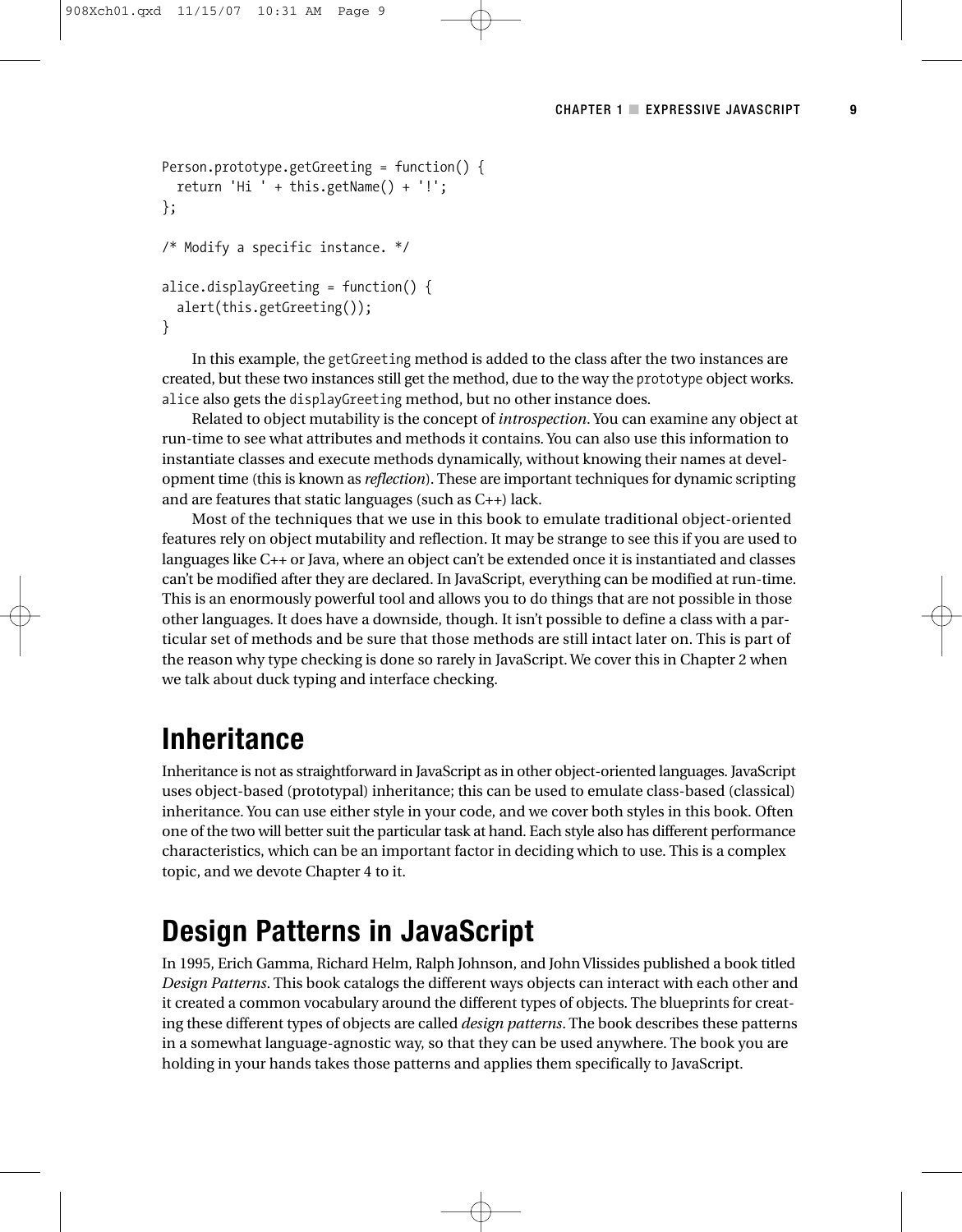```
Person.prototype.getGreeting = function() {
  return 'Hi ' + this.getName() + '!';
};
/* Modify a specific instance. */
alice.displayGreeting = function() {
  alert(this.getGreeting());
}
```
In this example, the getGreeting method is added to the class after the two instances are created, but these two instances still get the method, due to the way the prototype object works. alice also gets the displayGreeting method, but no other instance does.

Related to object mutability is the concept of *introspection*. You can examine any object at run-time to see what attributes and methods it contains. You can also use this information to instantiate classes and execute methods dynamically, without knowing their names at development time (this is known as *reflection*). These are important techniques for dynamic scripting and are features that static languages (such as C++) lack.

Most of the techniques that we use in this book to emulate traditional object-oriented features rely on object mutability and reflection. It may be strange to see this if you are used to languages like C++ or Java, where an object can't be extended once it is instantiated and classes can't be modified after they are declared. In JavaScript, everything can be modified at run-time. This is an enormously powerful tool and allows you to do things that are not possible in those other languages. It does have a downside, though. It isn't possible to define a class with a particular set of methods and be sure that those methods are still intact later on. This is part of the reason why type checking is done so rarely in JavaScript. We cover this in Chapter 2 when we talk about duck typing and interface checking.

## **Inheritance**

Inheritance is not as straightforward in JavaScript as in other object-oriented languages. JavaScript uses object-based (prototypal) inheritance; this can be used to emulate class-based (classical) inheritance. You can use either style in your code, and we cover both styles in this book. Often one of the two will better suit the particular task at hand. Each style also has different performance characteristics, which can be an important factor in deciding which to use. This is a complex topic, and we devote Chapter 4 to it.

# **Design Patterns in JavaScript**

In 1995, Erich Gamma, Richard Helm, Ralph Johnson, and John Vlissides published a book titled *Design Patterns*. This book catalogs the different ways objects can interact with each other and it created a common vocabulary around the different types of objects. The blueprints for creating these different types of objects are called *design patterns*. The book describes these patterns in a somewhat language-agnostic way, so that they can be used anywhere. The book you are holding in your hands takes those patterns and applies them specifically to JavaScript.